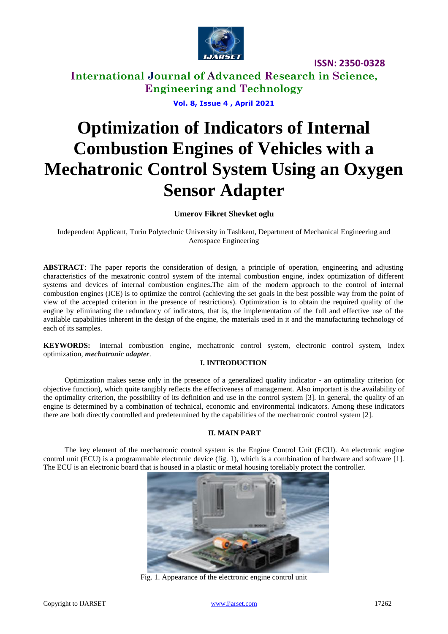

**International Journal of Advanced Research in Science, Engineering and Technology**

**Vol. 8, Issue 4 , April 2021**

# **Optimization of Indicators of Internal Combustion Engines of Vehicles with a Mechatronic Control System Using an Oxygen Sensor Adapter**

**Umerov Fikret Shevket oglu**

Independent Applicant, Turin Polytechnic University in Tashkent, Department of Mechanical Engineering and Aerospace Engineering

**ABSTRACT**: The paper reports the consideration of design, a principle of operation, engineering and adjusting characteristics of the mexatronic control system of the internal combustion engine, index optimization of different systems and devices of internal combustion engines**.**The aim of the modern approach to the control of internal combustion engines (ICE) is to optimize the control (achieving the set goals in the best possible way from the point of view of the accepted criterion in the presence of restrictions). Optimization is to obtain the required quality of the engine by eliminating the redundancy of indicators, that is, the implementation of the full and effective use of the available capabilities inherent in the design of the engine, the materials used in it and the manufacturing technology of each of its samples.

**KEYWORDS:** internal combustion engine, mechatronic control system, electronic control system, index optimization, *mechatronic adapter*.

## **I. INTRODUCTION**

Optimization makes sense only in the presence of a generalized quality indicator - an optimality criterion (or objective function), which quite tangibly reflects the effectiveness of management. Also important is the availability of the optimality criterion, the possibility of its definition and use in the control system [3]. In general, the quality of an engine is determined by a combination of technical, economic and environmental indicators. Among these indicators there are both directly controlled and predetermined by the capabilities of the mechatronic control system [2].

## **II. MAIN PART**

The key element of the mechatronic control system is the Engine Control Unit (ECU). An electronic engine control unit (ECU) is a programmable electronic device (fig. 1), which is a combination of hardware and software [1]. The ECU is an electronic board that is housed in a plastic or metal housing toreliably protect the controller.



Fig. 1. Appearance of the electronic engine control unit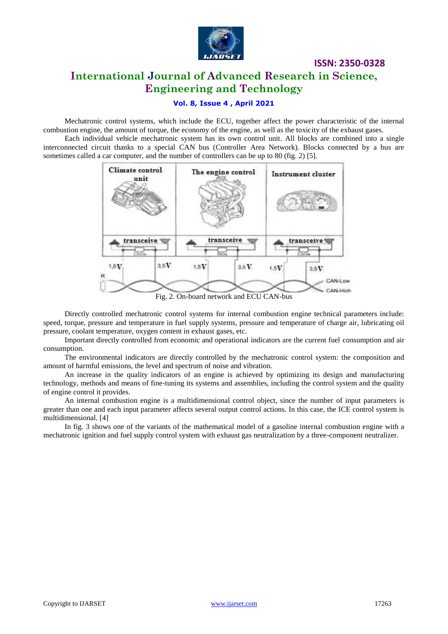

# **International Journal of Advanced Research in Science, Engineering and Technology**

## **Vol. 8, Issue 4 , April 2021**

Mechatronic control systems, which include the ECU, together affect the power characteristic of the internal combustion engine, the amount of torque, the economy of the engine, as well as the toxicity of the exhaust gases.

Each individual vehicle mechatronic system has its own control unit. All blocks are combined into a single interconnected circuit thanks to a special CAN bus (Controller Area Network). Blocks connected by a bus are sometimes called a car computer, and the number of controllers can be up to 80 (fig. 2) [5].



Fig. 2. On-board network and ECU CAN-bus

Directly controlled mechatronic control systems for internal combustion engine technical parameters include: speed, torque, pressure and temperature in fuel supply systems, pressure and temperature of charge air, lubricating oil pressure, coolant temperature, oxygen content in exhaust gases, etc.

Important directly controlled from economic and operational indicators are the current fuel consumption and air consumption.

The environmental indicators are directly controlled by the mechatronic control system: the composition and amount of harmful emissions, the level and spectrum of noise and vibration.

An increase in the quality indicators of an engine is achieved by optimizing its design and manufacturing technology, methods and means of fine-tuning its systems and assemblies, including the control system and the quality of engine control it provides.

An internal combustion engine is a multidimensional control object, since the number of input parameters is greater than one and each input parameter affects several output control actions. In this case, the ICE control system is multidimensional. [4]

In fig. 3 shows one of the variants of the mathematical model of a gasoline internal combustion engine with a mechatronic ignition and fuel supply control system with exhaust gas neutralization by a three-component neutralizer.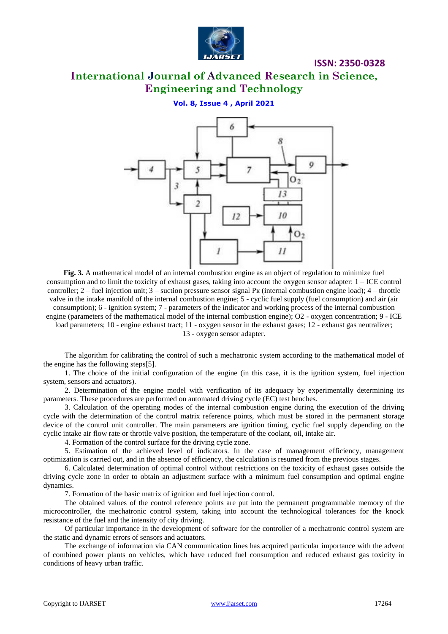

# **International Journal of Advanced Research in Science, Engineering and Technology**

**Vol. 8, Issue 4 , April 2021**



**Fig. 3***.* A mathematical model of an internal combustion engine as an object of regulation to minimize fuel consumption and to limit the toxicity of exhaust gases, taking into account the oxygen sensor adapter: 1 – ICE control controller;  $2$  – fuel injection unit;  $3$  – suction pressure sensor signal P<sub>K</sub> (internal combustion engine load);  $4$  – throttle valve in the intake manifold of the internal combustion engine; 5 - cyclic fuel supply (fuel consumption) and air (air consumption); 6 - ignition system; 7 - parameters of the indicator and working process of the internal combustion engine (parameters of the mathematical model of the internal combustion engine); O2 - oxygen concentration; 9 - ICE load parameters; 10 - engine exhaust tract; 11 - oxygen sensor in the exhaust gases; 12 - exhaust gas neutralizer; 13 - oxygen sensor adapter.

The algorithm for calibrating the control of such a mechatronic system according to the mathematical model of the engine has the following steps[5].

1. The choice of the initial configuration of the engine (in this case, it is the ignition system, fuel injection system, sensors and actuators).

2. Determination of the engine model with verification of its adequacy by experimentally determining its parameters. These procedures are performed on automated driving cycle (EC) test benches.

3. Calculation of the operating modes of the internal combustion engine during the execution of the driving cycle with the determination of the control matrix reference points, which must be stored in the permanent storage device of the control unit controller. The main parameters are ignition timing, cyclic fuel supply depending on the cyclic intake air flow rate or throttle valve position, the temperature of the coolant, oil, intake air.

4. Formation of the control surface for the driving cycle zone.

5. Estimation of the achieved level of indicators. In the case of management efficiency, management optimization is carried out, and in the absence of efficiency, the calculation is resumed from the previous stages.

6. Calculated determination of optimal control without restrictions on the toxicity of exhaust gases outside the driving cycle zone in order to obtain an adjustment surface with a minimum fuel consumption and optimal engine dynamics.

7. Formation of the basic matrix of ignition and fuel injection control.

The obtained values of the control reference points are put into the permanent programmable memory of the microcontroller, the mechatronic control system, taking into account the technological tolerances for the knock resistance of the fuel and the intensity of city driving.

Of particular importance in the development of software for the controller of a mechatronic control system are the static and dynamic errors of sensors and actuators.

The exchange of information via CAN communication lines has acquired particular importance with the advent of combined power plants on vehicles, which have reduced fuel consumption and reduced exhaust gas toxicity in conditions of heavy urban traffic.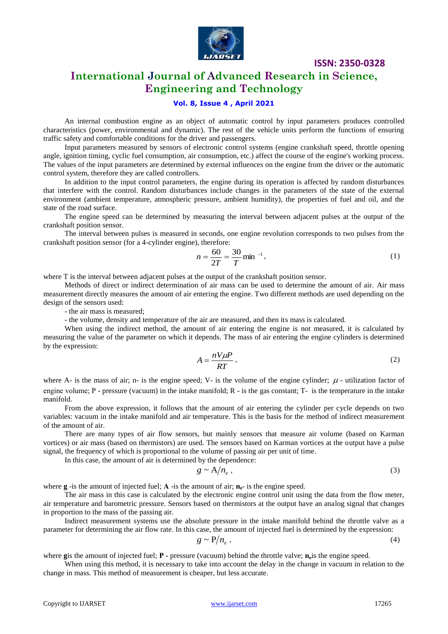

# **International Journal of Advanced Research in Science, Engineering and Technology**

## **Vol. 8, Issue 4 , April 2021**

An internal combustion engine as an object of automatic control by input parameters produces controlled characteristics (power, environmental and dynamic). The rest of the vehicle units perform the functions of ensuring traffic safety and comfortable conditions for the driver and passengers.

Input parameters measured by sensors of electronic control systems (engine crankshaft speed, throttle opening angle, ignition timing, cyclic fuel consumption, air consumption, etc.) affect the course of the engine's working process. The values of the input parameters are determined by external influences on the engine from the driver or the automatic control system, therefore they are called controllers.

In addition to the input control parameters, the engine during its operation is affected by random disturbances that interfere with the control. Random disturbances include changes in the parameters of the state of the external environment (ambient temperature, atmospheric pressure, ambient humidity), the properties of fuel and oil, and the state of the road surface.

The engine speed can be determined by measuring the interval between adjacent pulses at the output of the crankshaft position sensor.

The interval between pulses is measured in seconds, one engine revolution corresponds to two pulses from the crankshaft position sensor (for a 4-cylinder engine), therefore:

$$
n = \frac{60}{2T} = \frac{30}{T} \text{min}^{-1},\tag{1}
$$

where T is the interval between adjacent pulses at the output of the crankshaft position sensor.

Methods of direct or indirect determination of air mass can be used to determine the amount of air. Air mass measurement directly measures the amount of air entering the engine. Two different methods are used depending on the design of the sensors used:

- the air mass is measured;

- the volume, density and temperature of the air are measured, and then its mass is calculated.

When using the indirect method, the amount of air entering the engine is not measured, it is calculated by measuring the value of the parameter on which it depends. The mass of air entering the engine cylinders is determined by the expression:

$$
A = \frac{nV\mu}{RT},\tag{2}
$$

where A- is the mass of air; n- is the engine speed; V- is the volume of the engine cylinder;  $\mu$  - utilization factor of engine volume;  $P$  - pressure (vacuum) in the intake manifold;  $R$  - is the gas constant;  $T$ - is the temperature in the intake manifold.

From the above expression, it follows that the amount of air entering the cylinder per cycle depends on two variables: vacuum in the intake manifold and air temperature. This is the basis for the method of indirect measurement of the amount of air.

There are many types of air flow sensors, but mainly sensors that measure air volume (based on Karman vortices) or air mass (based on thermistors) are used. The sensors based on Karman vortices at the output have a pulse signal, the frequency of which is proportional to the volume of passing air per unit of time.

In this case, the amount of air is determined by the dependence:

$$
g \sim A/n_e \,, \tag{3}
$$

where **g** -is the amount of injected fuel; **A** -is the amount of air; **n**<sub>e</sub>- is the engine speed.

The air mass in this case is calculated by the electronic engine control unit using the data from the flow meter, air temperature and barometric pressure. Sensors based on thermistors at the output have an analog signal that changes in proportion to the mass of the passing air.

Indirect measurement systems use the absolute pressure in the intake manifold behind the throttle valve as a parameter for determining the air flow rate. In this case, the amount of injected fuel is determined by the expression:

$$
g \sim P/n_e \,, \tag{4}
$$

where gis the amount of injected fuel; **P** - pressure (vacuum) behind the throttle valve;  $n_e$  is the engine speed.

When using this method, it is necessary to take into account the delay in the change in vacuum in relation to the change in mass. This method of measurement is cheaper, but less accurate.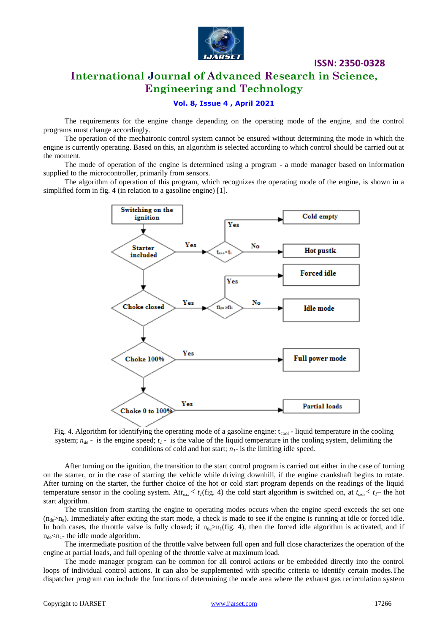

# **International Journal of Advanced Research in Science, Engineering and Technology**

#### **Vol. 8, Issue 4 , April 2021**

The requirements for the engine change depending on the operating mode of the engine, and the control programs must change accordingly.

The operation of the mechatronic control system cannot be ensured without determining the mode in which the engine is currently operating. Based on this, an algorithm is selected according to which control should be carried out at the moment.

The mode of operation of the engine is determined using a program - a mode manager based on information supplied to the microcontroller, primarily from sensors.

The algorithm of operation of this program, which recognizes the operating mode of the engine, is shown in a simplified form in fig. 4 (in relation to a gasoline engine) [1].



Fig. 4. Algorithm for identifying the operating mode of a gasoline engine:  $t_{cool}$  - liquid temperature in the cooling system; *nde* - is the engine speed; *t<sup>1</sup>* - is the value of the liquid temperature in the cooling system, delimiting the conditions of cold and hot start;  $n<sub>I</sub>$ - is the limiting idle speed.

After turning on the ignition, the transition to the start control program is carried out either in the case of turning on the starter, or in the case of starting the vehicle while driving downhill, if the engine crankshaft begins to rotate. After turning on the starter, the further choice of the hot or cold start program depends on the readings of the liquid temperature sensor in the cooling system. At $t_{ox} < t_I$ (fig. 4) the cold start algorithm is switched on, at  $t_{ox} < t_I$  the hot start algorithm.

The transition from starting the engine to operating modes occurs when the engine speed exceeds the set one  $(n_{de} > n_e)$ . Immediately after exiting the start mode, a check is made to see if the engine is running at idle or forced idle. In both cases, the throttle valve is fully closed; if  $n_{de} > n_1$ (fig. 4), then the forced idle algorithm is activated, and if  $n_{de}$ <n<sub>1</sub>- the idle mode algorithm.

The intermediate position of the throttle valve between full open and full close characterizes the operation of the engine at partial loads, and full opening of the throttle valve at maximum load.

The mode manager program can be common for all control actions or be embedded directly into the control loops of individual control actions. It can also be supplemented with specific criteria to identify certain modes.The dispatcher program can include the functions of determining the mode area where the exhaust gas recirculation system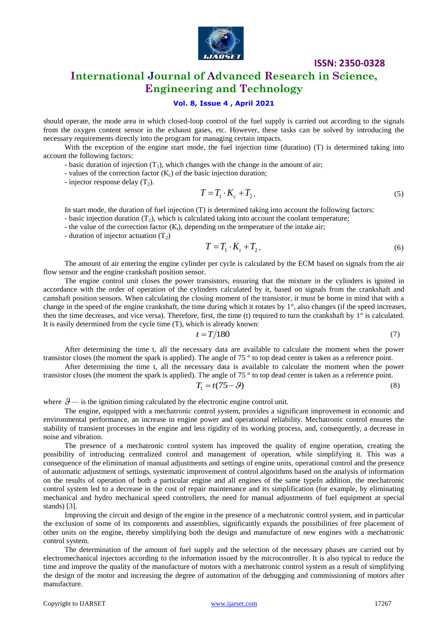

# **International Journal of Advanced Research in Science, Engineering and Technology**

## **Vol. 8, Issue 4 , April 2021**

should operate, the mode area in which closed-loop control of the fuel supply is carried out according to the signals from the oxygen content sensor in the exhaust gases, etc. However, these tasks can be solved by introducing the necessary requirements directly into the program for managing certain impacts.

With the exception of the engine start mode, the fuel injection time (duration) (T) is determined taking into account the following factors:

- basic duration of injection  $(T_1)$ , which changes with the change in the amount of air;
- values of the correction factor  $(K_c)$  of the basic injection duration;
- injector response delay  $(T_2)$ .

$$
T = T_1 \cdot K_c + T_2,\tag{5}
$$

In start mode, the duration of fuel injection (T) is determined taking into account the following factors:

- basic injection duration  $(T_1)$ , which is calculated taking into account the coolant temperature;

- the value of the correction factor  $(K_t)$ , depending on the temperature of the intake air;

- duration of injector actuation  $(T_2)$ 

$$
T = T_1 \cdot K_t + T_2,\tag{6}
$$

The amount of air entering the engine cylinder per cycle is calculated by the ECM based on signals from the air flow sensor and the engine crankshaft position sensor.

The engine control unit closes the power transistors, ensuring that the mixture in the cylinders is ignited in accordance with the order of operation of the cylinders calculated by it, based on signals from the crankshaft and camshaft position sensors. When calculating the closing moment of the transistor, it must be borne in mind that with a change in the speed of the engine crankshaft, the time during which it rotates by 1°, also changes (if the speed increases, then the time decreases, and vice versa). Therefore, first, the time (t) required to turn the crankshaft by  $1^\circ$  is calculated. It is easily determined from the cycle time (T), which is already known:

$$
t = T/180\tag{7}
$$

After determining the time t, all the necessary data are available to calculate the moment when the power transistor closes (the moment the spark is applied). The angle of 75 ° to top dead center is taken as a reference point.

After determining the time t, all the necessary data is available to calculate the moment when the power transistor closes (the moment the spark is applied). The angle of 75 ° to top dead center is taken as a reference point.

$$
T_1 = t(75 - \mathcal{G})\tag{8}
$$

where  $\mathcal{G}$  is the ignition timing calculated by the electronic engine control unit.

The engine, equipped with a mechatronic control system, provides a significant improvement in economic and environmental performance, an increase in engine power and operational reliability. Mechatronic control ensures the stability of transient processes in the engine and less rigidity of its working process, and, consequently, a decrease in noise and vibration.

The presence of a mechatronic control system has improved the quality of engine operation, creating the possibility of introducing centralized control and management of operation, while simplifying it. This was a consequence of the elimination of manual adjustments and settings of engine units, operational control and the presence of automatic adjustment of settings, systematic improvement of control algorithms based on the analysis of information on the results of operation of both a particular engine and all engines of the same typeIn addition, the mechatronic control system led to a decrease in the cost of repair maintenance and its simplification (for example, by eliminating mechanical and hydro mechanical speed controllers, the need for manual adjustments of fuel equipment at special stands) [3].

Improving the circuit and design of the engine in the presence of a mechatronic control system, and in particular the exclusion of some of its components and assemblies, significantly expands the possibilities of free placement of other units on the engine, thereby simplifying both the design and manufacture of new engines with a mechatronic control system.

The determination of the amount of fuel supply and the selection of the necessary phases are carried out by electromechanical injectors according to the information issued by the microcontroller. It is also typical to reduce the time and improve the quality of the manufacture of motors with a mechatronic control system as a result of simplifying the design of the motor and increasing the degree of automation of the debugging and commissioning of motors after manufacture.